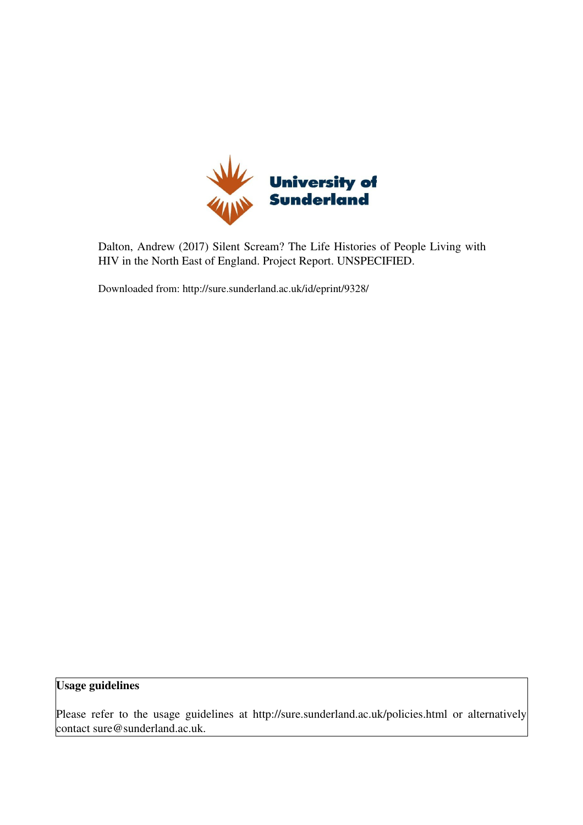

Dalton, Andrew (2017) Silent Scream? The Life Histories of People Living with HIV in the North East of England. Project Report. UNSPECIFIED.

Downloaded from: http://sure.sunderland.ac.uk/id/eprint/9328/

Usage guidelines

Please refer to the usage guidelines at http://sure.sunderland.ac.uk/policies.html or alternatively contact sure@sunderland.ac.uk.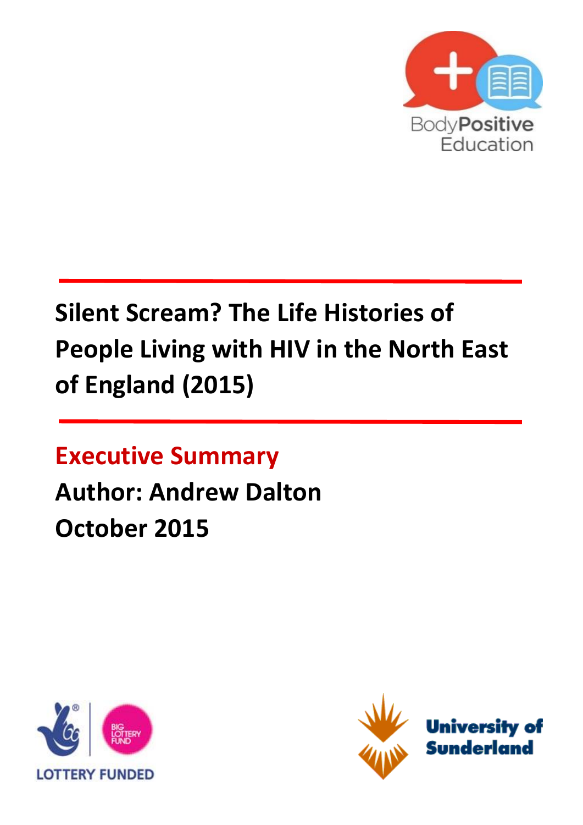

# **Silent Scream? The Life Histories of People Living with HIV in the North East of England (2015)**

**Executive Summary**

# **Author: Andrew Dalton October 2015**



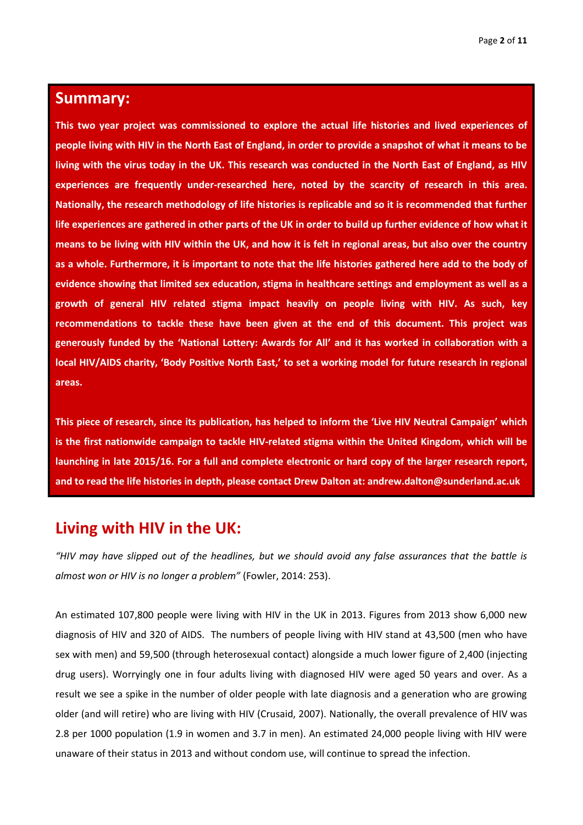#### **Summary:**

**This two year project was commissioned to explore the actual life histories and lived experiences of people living with HIV in the North East of England, in order to provide a snapshot of what it means to be living with the virus today in the UK. This research was conducted in the North East of England, as HIV experiences are frequently under-researched here, noted by the scarcity of research in this area. Nationally, the research methodology of life histories is replicable and so it is recommended that further life experiences are gathered in other parts of the UK in order to build up further evidence of how what it means to be living with HIV within the UK, and how it is felt in regional areas, but also over the country as a whole. Furthermore, it is important to note that the life histories gathered here add to the body of evidence showing that limited sex education, stigma in healthcare settings and employment as well as a growth of general HIV related stigma impact heavily on people living with HIV. As such, key recommendations to tackle these have been given at the end of this document. This project was generously funded by the 'National Lottery: Awards for All' and it has worked in collaboration with a local HIV/AIDS charity, 'Body Positive North East,' to set a working model for future research in regional areas.**

**This piece of research, since its publication, has helped to inform the 'Live HIV Neutral Campaign' which is the first nationwide campaign to tackle HIV-related stigma within the United Kingdom, which will be launching in late 2015/16. For a full and complete electronic or hard copy of the larger research report, and to read the life histories in depth, please contact Drew Dalton at: andrew.dalton@sunderland.ac.uk**

#### **Living with HIV in the UK:**

*"HIV may have slipped out of the headlines, but we should avoid any false assurances that the battle is almost won or HIV is no longer a problem"* (Fowler, 2014: 253).

An estimated 107,800 people were living with HIV in the UK in 2013. Figures from 2013 show 6,000 new diagnosis of HIV and 320 of AIDS. The numbers of people living with HIV stand at 43,500 (men who have sex with men) and 59,500 (through heterosexual contact) alongside a much lower figure of 2,400 (injecting drug users). Worryingly one in four adults living with diagnosed HIV were aged 50 years and over. As a result we see a spike in the number of older people with late diagnosis and a generation who are growing older (and will retire) who are living with HIV (Crusaid, 2007). Nationally, the overall prevalence of HIV was 2.8 per 1000 population (1.9 in women and 3.7 in men). An estimated 24,000 people living with HIV were unaware of their status in 2013 and without condom use, will continue to spread the infection.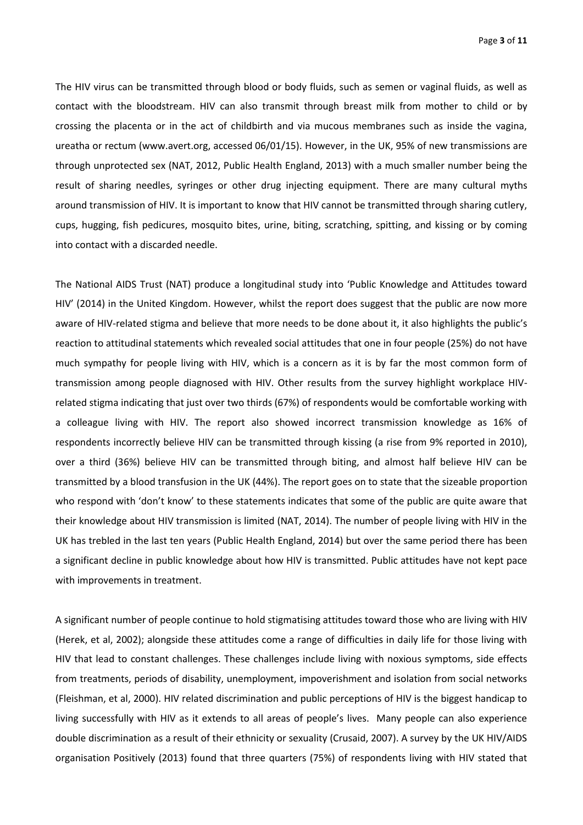Page **3** of **11**

The HIV virus can be transmitted through blood or body fluids, such as semen or vaginal fluids, as well as contact with the bloodstream. HIV can also transmit through breast milk from mother to child or by crossing the placenta or in the act of childbirth and via mucous membranes such as inside the vagina, ureatha or rectum (www.avert.org, accessed 06/01/15). However, in the UK, 95% of new transmissions are through unprotected sex (NAT, 2012, Public Health England, 2013) with a much smaller number being the result of sharing needles, syringes or other drug injecting equipment. There are many cultural myths around transmission of HIV. It is important to know that HIV cannot be transmitted through sharing cutlery, cups, hugging, fish pedicures, mosquito bites, urine, biting, scratching, spitting, and kissing or by coming into contact with a discarded needle.

The National AIDS Trust (NAT) produce a longitudinal study into 'Public Knowledge and Attitudes toward HIV' (2014) in the United Kingdom. However, whilst the report does suggest that the public are now more aware of HIV-related stigma and believe that more needs to be done about it, it also highlights the public's reaction to attitudinal statements which revealed social attitudes that one in four people (25%) do not have much sympathy for people living with HIV, which is a concern as it is by far the most common form of transmission among people diagnosed with HIV. Other results from the survey highlight workplace HIVrelated stigma indicating that just over two thirds (67%) of respondents would be comfortable working with a colleague living with HIV. The report also showed incorrect transmission knowledge as 16% of respondents incorrectly believe HIV can be transmitted through kissing (a rise from 9% reported in 2010), over a third (36%) believe HIV can be transmitted through biting, and almost half believe HIV can be transmitted by a blood transfusion in the UK (44%). The report goes on to state that the sizeable proportion who respond with 'don't know' to these statements indicates that some of the public are quite aware that their knowledge about HIV transmission is limited (NAT, 2014). The number of people living with HIV in the UK has trebled in the last ten years (Public Health England, 2014) but over the same period there has been a significant decline in public knowledge about how HIV is transmitted. Public attitudes have not kept pace with improvements in treatment.

A significant number of people continue to hold stigmatising attitudes toward those who are living with HIV (Herek, et al, 2002); alongside these attitudes come a range of difficulties in daily life for those living with HIV that lead to constant challenges. These challenges include living with noxious symptoms, side effects from treatments, periods of disability, unemployment, impoverishment and isolation from social networks (Fleishman, et al, 2000). HIV related discrimination and public perceptions of HIV is the biggest handicap to living successfully with HIV as it extends to all areas of people's lives. Many people can also experience double discrimination as a result of their ethnicity or sexuality (Crusaid, 2007). A survey by the UK HIV/AIDS organisation Positively (2013) found that three quarters (75%) of respondents living with HIV stated that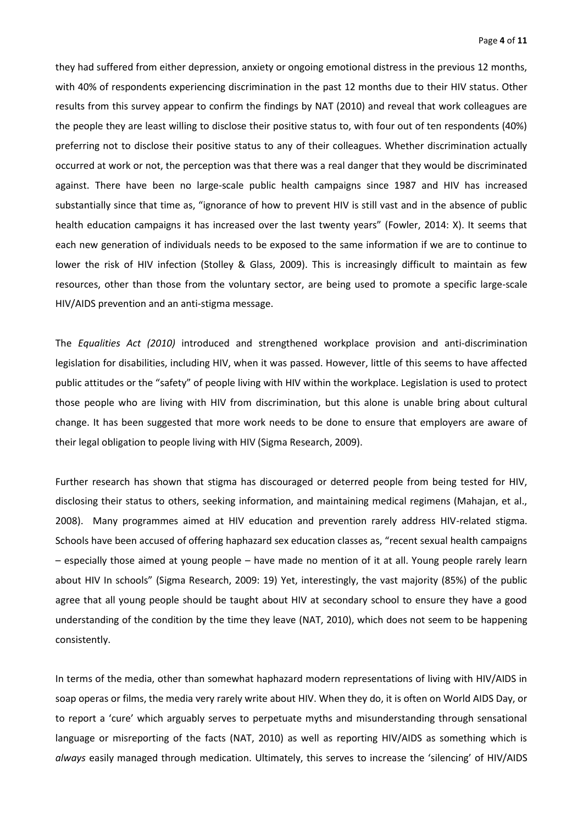they had suffered from either depression, anxiety or ongoing emotional distress in the previous 12 months, with 40% of respondents experiencing discrimination in the past 12 months due to their HIV status. Other results from this survey appear to confirm the findings by NAT (2010) and reveal that work colleagues are the people they are least willing to disclose their positive status to, with four out of ten respondents (40%) preferring not to disclose their positive status to any of their colleagues. Whether discrimination actually occurred at work or not, the perception was that there was a real danger that they would be discriminated against. There have been no large-scale public health campaigns since 1987 and HIV has increased substantially since that time as, "ignorance of how to prevent HIV is still vast and in the absence of public health education campaigns it has increased over the last twenty years" (Fowler, 2014: X). It seems that each new generation of individuals needs to be exposed to the same information if we are to continue to lower the risk of HIV infection (Stolley & Glass, 2009). This is increasingly difficult to maintain as few resources, other than those from the voluntary sector, are being used to promote a specific large-scale HIV/AIDS prevention and an anti-stigma message.

The *Equalities Act (2010)* introduced and strengthened workplace provision and anti-discrimination legislation for disabilities, including HIV, when it was passed. However, little of this seems to have affected public attitudes or the "safety" of people living with HIV within the workplace. Legislation is used to protect those people who are living with HIV from discrimination, but this alone is unable bring about cultural change. It has been suggested that more work needs to be done to ensure that employers are aware of their legal obligation to people living with HIV (Sigma Research, 2009).

Further research has shown that stigma has discouraged or deterred people from being tested for HIV, disclosing their status to others, seeking information, and maintaining medical regimens (Mahajan, et al., 2008). Many programmes aimed at HIV education and prevention rarely address HIV-related stigma. Schools have been accused of offering haphazard sex education classes as, "recent sexual health campaigns – especially those aimed at young people – have made no mention of it at all. Young people rarely learn about HIV In schools" (Sigma Research, 2009: 19) Yet, interestingly, the vast majority (85%) of the public agree that all young people should be taught about HIV at secondary school to ensure they have a good understanding of the condition by the time they leave (NAT, 2010), which does not seem to be happening consistently.

In terms of the media, other than somewhat haphazard modern representations of living with HIV/AIDS in soap operas or films, the media very rarely write about HIV. When they do, it is often on World AIDS Day, or to report a 'cure' which arguably serves to perpetuate myths and misunderstanding through sensational language or misreporting of the facts (NAT, 2010) as well as reporting HIV/AIDS as something which is *always* easily managed through medication. Ultimately, this serves to increase the 'silencing' of HIV/AIDS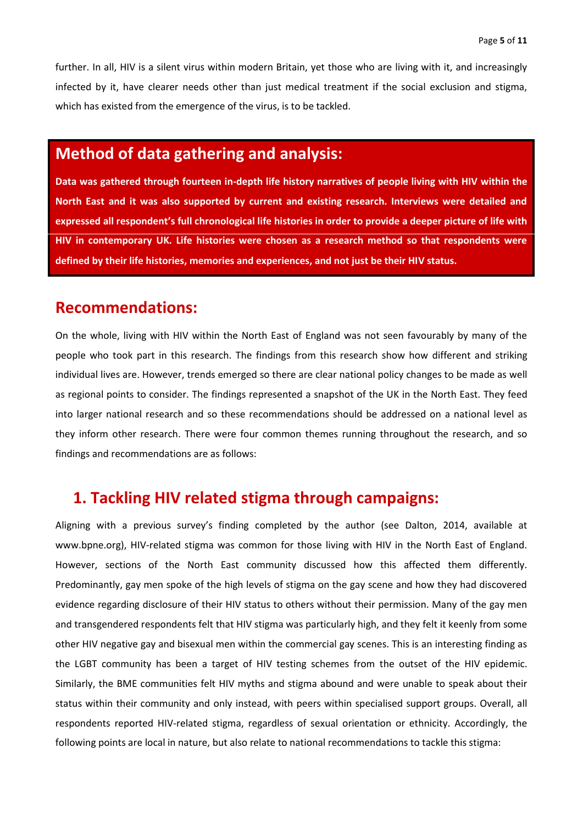further. In all, HIV is a silent virus within modern Britain, yet those who are living with it, and increasingly infected by it, have clearer needs other than just medical treatment if the social exclusion and stigma, which has existed from the emergence of the virus, is to be tackled.

## **Method of data gathering and analysis:**

**Data was gathered through fourteen in-depth life history narratives of people living with HIV within the North East and it was also supported by current and existing research. Interviews were detailed and expressed all respondent's full chronological life histories in order to provide a deeper picture of life with HIV in contemporary UK. Life histories were chosen as a research method so that respondents were defined by their life histories, memories and experiences, and not just be their HIV status.** 

#### **Recommendations:**

On the whole, living with HIV within the North East of England was not seen favourably by many of the people who took part in this research. The findings from this research show how different and striking individual lives are. However, trends emerged so there are clear national policy changes to be made as well as regional points to consider. The findings represented a snapshot of the UK in the North East. They feed into larger national research and so these recommendations should be addressed on a national level as they inform other research. There were four common themes running throughout the research, and so findings and recommendations are as follows:

### **1. Tackling HIV related stigma through campaigns:**

Aligning with a previous survey's finding completed by the author (see Dalton, 2014, available at www.bpne.org), HIV-related stigma was common for those living with HIV in the North East of England. However, sections of the North East community discussed how this affected them differently. Predominantly, gay men spoke of the high levels of stigma on the gay scene and how they had discovered evidence regarding disclosure of their HIV status to others without their permission. Many of the gay men and transgendered respondents felt that HIV stigma was particularly high, and they felt it keenly from some other HIV negative gay and bisexual men within the commercial gay scenes. This is an interesting finding as the LGBT community has been a target of HIV testing schemes from the outset of the HIV epidemic. Similarly, the BME communities felt HIV myths and stigma abound and were unable to speak about their status within their community and only instead, with peers within specialised support groups. Overall, all respondents reported HIV-related stigma, regardless of sexual orientation or ethnicity. Accordingly, the following points are local in nature, but also relate to national recommendations to tackle this stigma: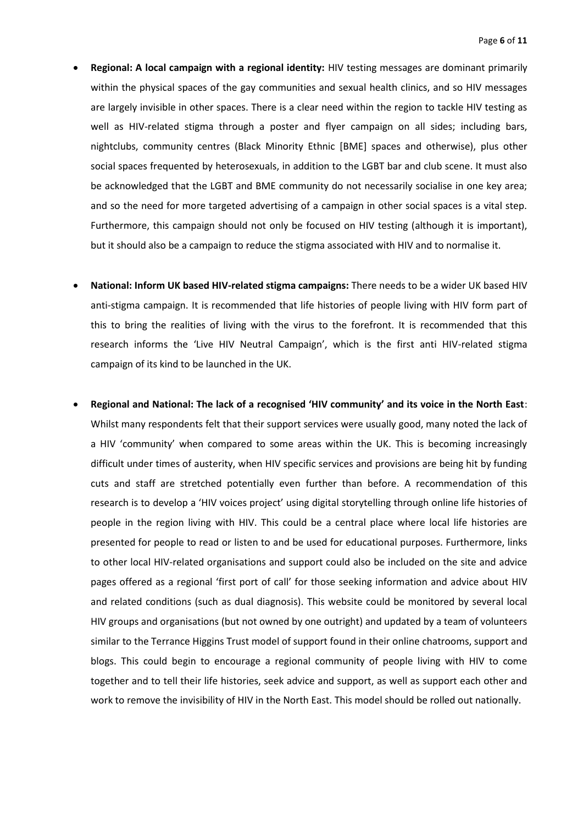- **Regional: A local campaign with a regional identity:** HIV testing messages are dominant primarily within the physical spaces of the gay communities and sexual health clinics, and so HIV messages are largely invisible in other spaces. There is a clear need within the region to tackle HIV testing as well as HIV-related stigma through a poster and flyer campaign on all sides; including bars, nightclubs, community centres (Black Minority Ethnic [BME] spaces and otherwise), plus other social spaces frequented by heterosexuals, in addition to the LGBT bar and club scene. It must also be acknowledged that the LGBT and BME community do not necessarily socialise in one key area; and so the need for more targeted advertising of a campaign in other social spaces is a vital step. Furthermore, this campaign should not only be focused on HIV testing (although it is important), but it should also be a campaign to reduce the stigma associated with HIV and to normalise it.
- **National: Inform UK based HIV-related stigma campaigns:** There needs to be a wider UK based HIV anti-stigma campaign. It is recommended that life histories of people living with HIV form part of this to bring the realities of living with the virus to the forefront. It is recommended that this research informs the 'Live HIV Neutral Campaign', which is the first anti HIV-related stigma campaign of its kind to be launched in the UK.
- **Regional and National: The lack of a recognised 'HIV community' and its voice in the North East**: Whilst many respondents felt that their support services were usually good, many noted the lack of a HIV 'community' when compared to some areas within the UK. This is becoming increasingly difficult under times of austerity, when HIV specific services and provisions are being hit by funding cuts and staff are stretched potentially even further than before. A recommendation of this research is to develop a 'HIV voices project' using digital storytelling through online life histories of people in the region living with HIV. This could be a central place where local life histories are presented for people to read or listen to and be used for educational purposes. Furthermore, links to other local HIV-related organisations and support could also be included on the site and advice pages offered as a regional 'first port of call' for those seeking information and advice about HIV and related conditions (such as dual diagnosis). This website could be monitored by several local HIV groups and organisations (but not owned by one outright) and updated by a team of volunteers similar to the Terrance Higgins Trust model of support found in their online chatrooms, support and blogs. This could begin to encourage a regional community of people living with HIV to come together and to tell their life histories, seek advice and support, as well as support each other and work to remove the invisibility of HIV in the North East. This model should be rolled out nationally.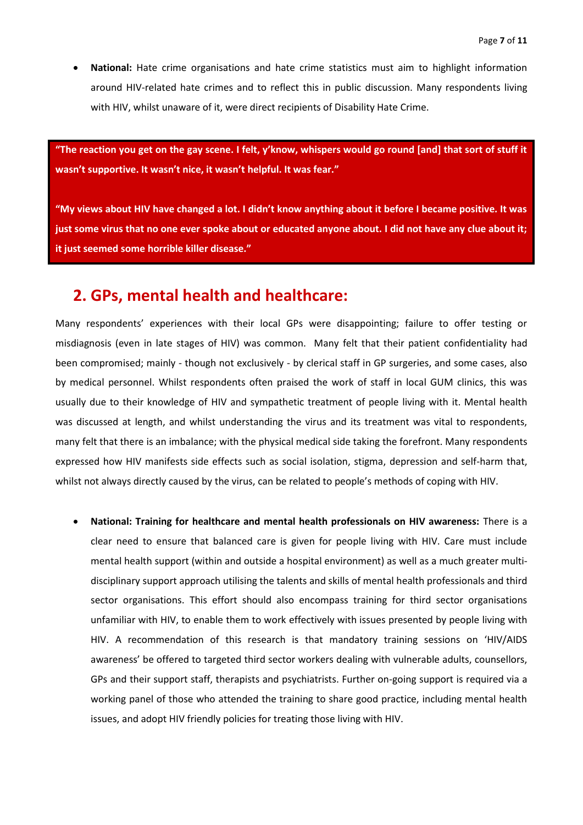**National:** Hate crime organisations and hate crime statistics must aim to highlight information around HIV-related hate crimes and to reflect this in public discussion. Many respondents living with HIV, whilst unaware of it, were direct recipients of Disability Hate Crime.

**"The reaction you get on the gay scene. I felt, y'know, whispers would go round [and] that sort of stuff it wasn't supportive. It wasn't nice, it wasn't helpful. It was fear."**

**"My views about HIV have changed a lot. I didn't know anything about it before I became positive. It was just some virus that no one ever spoke about or educated anyone about. I did not have any clue about it; it just seemed some horrible killer disease."**

### **2. GPs, mental health and healthcare:**

Many respondents' experiences with their local GPs were disappointing; failure to offer testing or misdiagnosis (even in late stages of HIV) was common. Many felt that their patient confidentiality had been compromised; mainly - though not exclusively - by clerical staff in GP surgeries, and some cases, also by medical personnel. Whilst respondents often praised the work of staff in local GUM clinics, this was usually due to their knowledge of HIV and sympathetic treatment of people living with it. Mental health was discussed at length, and whilst understanding the virus and its treatment was vital to respondents, many felt that there is an imbalance; with the physical medical side taking the forefront. Many respondents expressed how HIV manifests side effects such as social isolation, stigma, depression and self-harm that, whilst not always directly caused by the virus, can be related to people's methods of coping with HIV.

 **National: Training for healthcare and mental health professionals on HIV awareness:** There is a clear need to ensure that balanced care is given for people living with HIV. Care must include mental health support (within and outside a hospital environment) as well as a much greater multidisciplinary support approach utilising the talents and skills of mental health professionals and third sector organisations. This effort should also encompass training for third sector organisations unfamiliar with HIV, to enable them to work effectively with issues presented by people living with HIV. A recommendation of this research is that mandatory training sessions on 'HIV/AIDS awareness' be offered to targeted third sector workers dealing with vulnerable adults, counsellors, GPs and their support staff, therapists and psychiatrists. Further on-going support is required via a working panel of those who attended the training to share good practice, including mental health issues, and adopt HIV friendly policies for treating those living with HIV.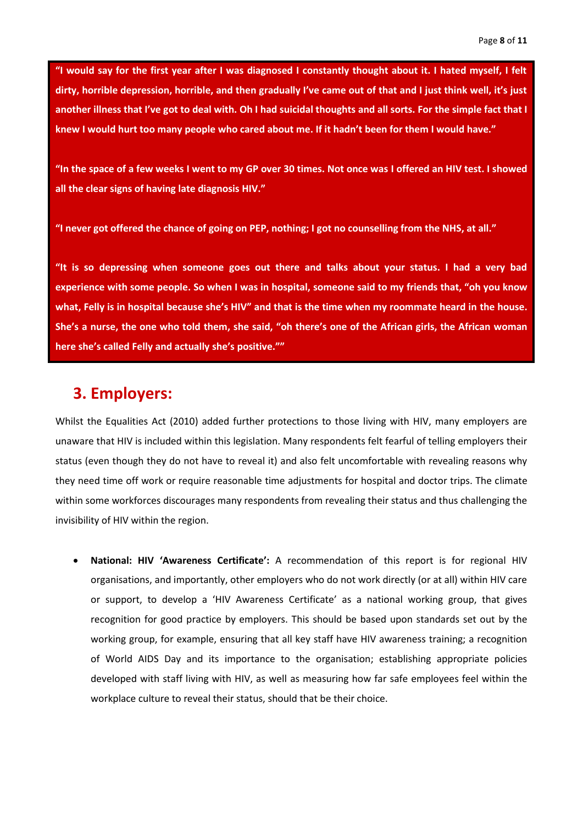**"I would say for the first year after I was diagnosed I constantly thought about it. I hated myself, I felt dirty, horrible depression, horrible, and then gradually I've came out of that and I just think well, it's just another illness that I've got to deal with. Oh I had suicidal thoughts and all sorts. For the simple fact that I knew I would hurt too many people who cared about me. If it hadn't been for them I would have."**

**"In the space of a few weeks I went to my GP over 30 times. Not once was I offered an HIV test. I showed all the clear signs of having late diagnosis HIV."**

**"I never got offered the chance of going on PEP, nothing; I got no counselling from the NHS, at all."**

**"It is so depressing when someone goes out there and talks about your status. I had a very bad experience with some people. So when I was in hospital, someone said to my friends that, "oh you know what, Felly is in hospital because she's HIV" and that is the time when my roommate heard in the house. She's a nurse, the one who told them, she said, "oh there's one of the African girls, the African woman here she's called Felly and actually she's positive.""**

## **3. Employers:**

Whilst the Equalities Act (2010) added further protections to those living with HIV, many employers are unaware that HIV is included within this legislation. Many respondents felt fearful of telling employers their status (even though they do not have to reveal it) and also felt uncomfortable with revealing reasons why they need time off work or require reasonable time adjustments for hospital and doctor trips. The climate within some workforces discourages many respondents from revealing their status and thus challenging the invisibility of HIV within the region.

 **National: HIV 'Awareness Certificate':** A recommendation of this report is for regional HIV organisations, and importantly, other employers who do not work directly (or at all) within HIV care or support, to develop a 'HIV Awareness Certificate' as a national working group, that gives recognition for good practice by employers. This should be based upon standards set out by the working group, for example, ensuring that all key staff have HIV awareness training; a recognition of World AIDS Day and its importance to the organisation; establishing appropriate policies developed with staff living with HIV, as well as measuring how far safe employees feel within the workplace culture to reveal their status, should that be their choice.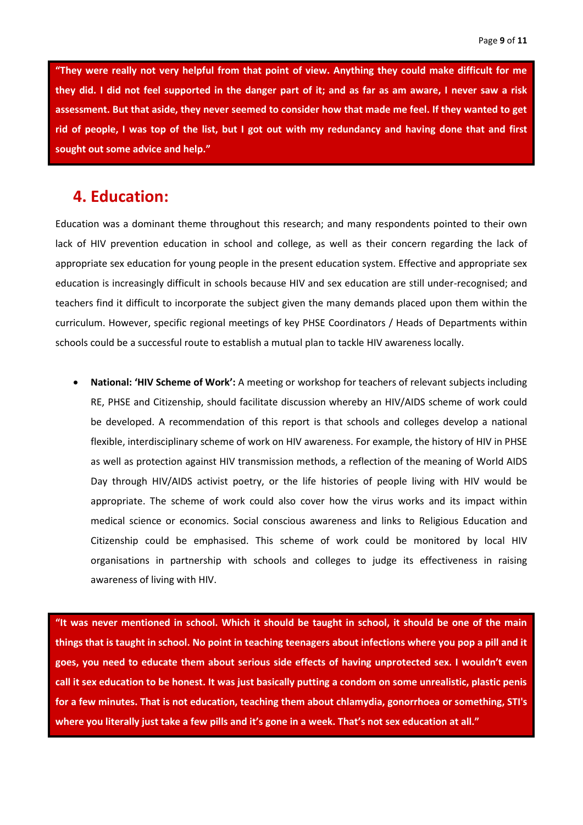**"They were really not very helpful from that point of view. Anything they could make difficult for me they did. I did not feel supported in the danger part of it; and as far as am aware, I never saw a risk assessment. But that aside, they never seemed to consider how that made me feel. If they wanted to get rid of people, I was top of the list, but I got out with my redundancy and having done that and first sought out some advice and help."**

### **4. Education:**

Education was a dominant theme throughout this research; and many respondents pointed to their own lack of HIV prevention education in school and college, as well as their concern regarding the lack of appropriate sex education for young people in the present education system. Effective and appropriate sex education is increasingly difficult in schools because HIV and sex education are still under-recognised; and teachers find it difficult to incorporate the subject given the many demands placed upon them within the curriculum. However, specific regional meetings of key PHSE Coordinators / Heads of Departments within schools could be a successful route to establish a mutual plan to tackle HIV awareness locally.

 **National: 'HIV Scheme of Work':** A meeting or workshop for teachers of relevant subjects including RE, PHSE and Citizenship, should facilitate discussion whereby an HIV/AIDS scheme of work could be developed. A recommendation of this report is that schools and colleges develop a national flexible, interdisciplinary scheme of work on HIV awareness. For example, the history of HIV in PHSE as well as protection against HIV transmission methods, a reflection of the meaning of World AIDS Day through HIV/AIDS activist poetry, or the life histories of people living with HIV would be appropriate. The scheme of work could also cover how the virus works and its impact within medical science or economics. Social conscious awareness and links to Religious Education and Citizenship could be emphasised. This scheme of work could be monitored by local HIV organisations in partnership with schools and colleges to judge its effectiveness in raising awareness of living with HIV.

**"It was never mentioned in school. Which it should be taught in school, it should be one of the main things that is taught in school. No point in teaching teenagers about infections where you pop a pill and it goes, you need to educate them about serious side effects of having unprotected sex. I wouldn't even call it sex education to be honest. It was just basically putting a condom on some unrealistic, plastic penis for a few minutes. That is not education, teaching them about chlamydia, gonorrhoea or something, STI's where you literally just take a few pills and it's gone in a week. That's not sex education at all."**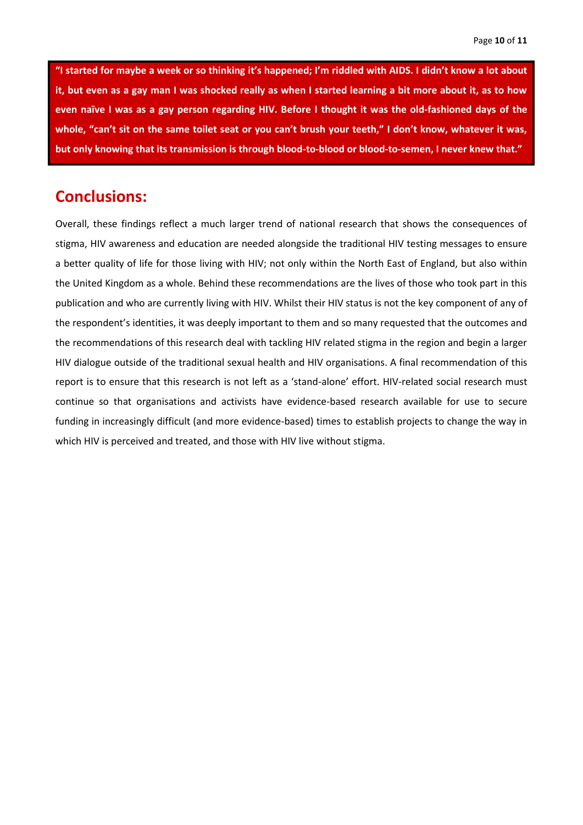**"I started for maybe a week or so thinking it's happened; I'm riddled with AIDS. I didn't know a lot about it, but even as a gay man I was shocked really as when I started learning a bit more about it, as to how even naïve I was as a gay person regarding HIV. Before I thought it was the old-fashioned days of the whole, "can't sit on the same toilet seat or you can't brush your teeth," I don't know, whatever it was, but only knowing that its transmission is through blood-to-blood or blood-to-semen, I never knew that."**

## **Conclusions:**

Overall, these findings reflect a much larger trend of national research that shows the consequences of stigma, HIV awareness and education are needed alongside the traditional HIV testing messages to ensure a better quality of life for those living with HIV; not only within the North East of England, but also within the United Kingdom as a whole. Behind these recommendations are the lives of those who took part in this publication and who are currently living with HIV. Whilst their HIV status is not the key component of any of the respondent's identities, it was deeply important to them and so many requested that the outcomes and the recommendations of this research deal with tackling HIV related stigma in the region and begin a larger HIV dialogue outside of the traditional sexual health and HIV organisations. A final recommendation of this report is to ensure that this research is not left as a 'stand-alone' effort. HIV-related social research must continue so that organisations and activists have evidence-based research available for use to secure funding in increasingly difficult (and more evidence-based) times to establish projects to change the way in which HIV is perceived and treated, and those with HIV live without stigma.